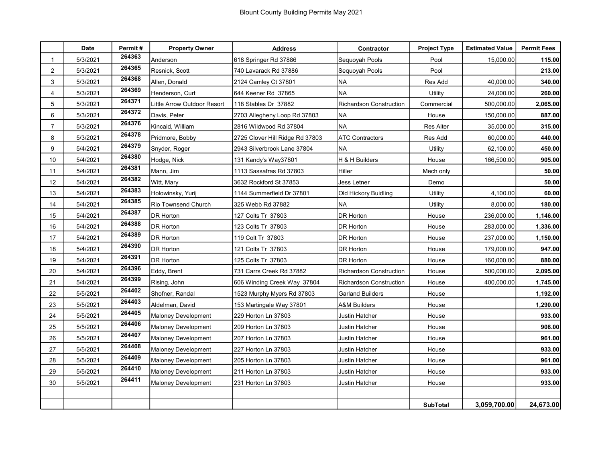|                | Date     | Permit# | <b>Property Owner</b>       | <b>Address</b>                  | Contractor                     | <b>Project Type</b> | <b>Estimated Value</b> | <b>Permit Fees</b> |
|----------------|----------|---------|-----------------------------|---------------------------------|--------------------------------|---------------------|------------------------|--------------------|
|                | 5/3/2021 | 264363  | Anderson                    | 618 Springer Rd 37886           | Sequoyah Pools                 | Pool                | 15,000.00              | 115.00             |
| $\overline{2}$ | 5/3/2021 | 264365  | Resnick, Scott              | 740 Lavarack Rd 37886           | Sequoyah Pools                 | Pool                |                        | 213.00             |
| 3              | 5/3/2021 | 264368  | Allen, Donald               | 2124 Camley Ct 37801            | NA                             | Res Add             | 40,000.00              | 340.00             |
| 4              | 5/3/2021 | 264369  | Henderson, Curt             | 644 Keener Rd 37865             | <b>NA</b>                      | Utility             | 24,000.00              | 260.00             |
| 5              | 5/3/2021 | 264371  | Little Arrow Outdoor Resort | 118 Stables Dr 37882            | Richardson Construction        | Commercial          | 500,000.00             | 2,065.00           |
| 6              | 5/3/2021 | 264372  | Davis, Peter                | 2703 Allegheny Loop Rd 37803    | NA                             | House               | 150,000.00             | 887.00             |
| $\overline{7}$ | 5/3/2021 | 264376  | Kincaid, William            | 2816 Wildwood Rd 37804          | <b>NA</b>                      | <b>Res Alter</b>    | 35,000.00              | 315.00             |
| 8              | 5/3/2021 | 264378  | Pridmore, Bobby             | 2725 Clover Hill Ridge Rd 37803 | <b>ATC Contractors</b>         | Res Add             | 60,000.00              | 440.00             |
| 9              | 5/4/2021 | 264379  | Snyder, Roger               | 2943 Silverbrook Lane 37804     | <b>NA</b>                      | Utility             | 62,100.00              | 450.00             |
| 10             | 5/4/2021 | 264380  | Hodge, Nick                 | 131 Kandy's Way37801            | H & H Builders                 | House               | 166,500.00             | 905.00             |
| 11             | 5/4/2021 | 264381  | Mann, Jim                   | 1113 Sassafras Rd 37803         | Hiller                         | Mech only           |                        | 50.00              |
| 12             | 5/4/2021 | 264382  | Witt, Mary                  | 3632 Rockford St 37853          | Jess Letner                    | Demo                |                        | 50.00              |
| 13             | 5/4/2021 | 264383  | Holowinsky, Yurij           | 1144 Summerfield Dr 37801       | Old Hickory Buidling           | Utility             | 4,100.00               | 60.00              |
| 14             | 5/4/2021 | 264385  | Rio Townsend Church         | 325 Webb Rd 37882               | <b>NA</b>                      | Utility             | 8,000.00               | 180.00             |
| 15             | 5/4/2021 | 264387  | <b>DR Horton</b>            | 127 Colts Tr 37803              | DR Horton                      | House               | 236,000.00             | 1,146.00           |
| 16             | 5/4/2021 | 264388  | <b>DR Horton</b>            | 123 Colts Tr 37803              | DR Horton                      | House               | 283,000.00             | 1,336.00           |
| 17             | 5/4/2021 | 264389  | <b>DR Horton</b>            | 119 Colt Tr 37803               | DR Horton                      | House               | 237,000.00             | 1,150.00           |
| 18             | 5/4/2021 | 264390  | <b>DR Horton</b>            | 121 Colts Tr 37803              | DR Horton                      | House               | 179,000.00             | 947.00             |
| 19             | 5/4/2021 | 264391  | <b>DR Horton</b>            | 125 Colts Tr 37803              | DR Horton                      | House               | 160,000.00             | 880.00             |
| 20             | 5/4/2021 | 264396  | Eddy, Brent                 | 731 Carrs Creek Rd 37882        | <b>Richardson Construction</b> | House               | 500,000.00             | 2,095.00           |
| 21             | 5/4/2021 | 264399  | Rising, John                | 606 Winding Creek Way 37804     | <b>Richardson Construction</b> | House               | 400,000.00             | 1,745.00           |
| 22             | 5/5/2021 | 264402  | Shofner, Randal             | 1523 Murphy Myers Rd 37803      | <b>Garland Builders</b>        | House               |                        | 1,192.00           |
| 23             | 5/5/2021 | 264403  | Aldelman, David             | 153 Martingale Way 37801        | A&M Builders                   | House               |                        | 1,290.00           |
| 24             | 5/5/2021 | 264405  | <b>Maloney Development</b>  | 229 Horton Ln 37803             | Justin Hatcher                 | House               |                        | 933.00             |
| 25             | 5/5/2021 | 264406  | <b>Maloney Development</b>  | 209 Horton Ln 37803             | Justin Hatcher                 | House               |                        | 908.00             |
| 26             | 5/5/2021 | 264407  | <b>Maloney Development</b>  | 207 Horton Ln 37803             | Justin Hatcher                 | House               |                        | 961.00             |
| 27             | 5/5/2021 | 264408  | <b>Maloney Development</b>  | 227 Horton Ln 37803             | Justin Hatcher                 | House               |                        | 933.00             |
| 28             | 5/5/2021 | 264409  | <b>Maloney Development</b>  | 205 Horton Ln 37803             | Justin Hatcher                 | House               |                        | 961.00             |
| 29             | 5/5/2021 | 264410  | Maloney Development         | 211 Horton Ln 37803             | Justin Hatcher                 | House               |                        | 933.00             |
| 30             | 5/5/2021 | 264411  | <b>Maloney Development</b>  | 231 Horton Ln 37803             | Justin Hatcher                 | House               |                        | 933.00             |
|                |          |         |                             |                                 |                                |                     |                        |                    |
|                |          |         |                             |                                 |                                | <b>SubTotal</b>     | 3,059,700.00           | 24,673.00          |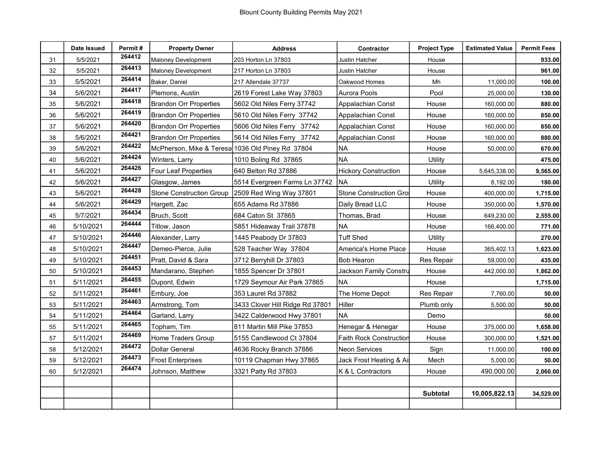|    | Date Issued | Permit# | <b>Property Owner</b>                            | <b>Address</b>                  | Contractor                     | <b>Project Type</b> | <b>Estimated Value</b> | <b>Permit Fees</b> |
|----|-------------|---------|--------------------------------------------------|---------------------------------|--------------------------------|---------------------|------------------------|--------------------|
| 31 | 5/5/2021    | 264412  | <b>Maloney Development</b>                       | 203 Horton Ln 37803             | Justin Hatcher                 | House               |                        | 933.00             |
| 32 | 5/5/2021    | 264413  | Maloney Development                              | 217 Horton Ln 37803             | Justin Hatcher                 | House               |                        | 961.00             |
| 33 | 5/5/2021    | 264414  | Baker, Daniel                                    | 217 Allendale 37737             | Oakwood Homes                  | Mh                  | 11,000.00              | 100.00             |
| 34 | 5/6/2021    | 264417  | Plemons, Austin                                  | 2619 Forest Lake Way 37803      | Aurora Pools                   | Pool                | 25,000.00              | 130.00             |
| 35 | 5/6/2021    | 264418  | Brandon Orr Properties                           | 5602 Old Niles Ferry 37742      | Appalachian Const              | House               | 160,000.00             | 880.00             |
| 36 | 5/6/2021    | 264419  | <b>Brandon Orr Properties</b>                    | 5610 Old Niles Ferry 37742      | Appalachian Const              | House               | 160,000.00             | 850.00             |
| 37 | 5/6/2021    | 264420  | Brandon Orr Properties                           | 5606 Old Niles Ferry 37742      | Appalachian Const              | House               | 160,000.00             | 850.00             |
| 38 | 5/6/2021    | 264421  | <b>Brandon Orr Properties</b>                    | 5614 Old Niles Ferry 37742      | Appalachian Const              | House               | 160,000.00             | 880.00             |
| 39 | 5/6/2021    | 264422  | McPherson, Mike & Teresa 1036 Old Piney Rd 37804 |                                 | NA                             | House               | 50,000.00              | 670.00             |
| 40 | 5/6/2021    | 264424  | Winters, Larry                                   | 1010 Boling Rd 37865            | <b>NA</b>                      | Utility             |                        | 475.00             |
| 41 | 5/6/2021    | 264426  | Four Leaf Properties                             | 640 Belton Rd 37886             | <b>Hickory Construction</b>    | House               | 5,645,338.00           | 9,565.00           |
| 42 | 5/6/2021    | 264427  | Glasgow, James                                   | 5514 Evergreen Farms Ln 37742   | <b>NA</b>                      | Utility             | 8,192.00               | 180.00             |
| 43 | 5/6/2021    | 264428  | <b>Stone Construction Group</b>                  | 2509 Red Wing Way 37801         | Stone Construction Gro         | House               | 400,000.00             | 1,715.00           |
| 44 | 5/6/2021    | 264429  | Hargett, Zac                                     | 655 Adams Rd 37886              | Daily Bread LLC                | House               | 350,000.00             | 1,570.00           |
| 45 | 5/7/2021    | 264434  | Bruch, Scott                                     | 684 Caton St 37865              | Thomas, Brad                   | House               | 649,230.00             | 2,555.00           |
| 46 | 5/10/2021   | 264444  | Titlow, Jason                                    | 5851 Hideaway Trail 37878       | <b>NA</b>                      | House               | 166,400.00             | 771.00             |
| 47 | 5/10/2021   | 264446  | Alexander, Larry                                 | 1445 Peabody Dr 37803           | <b>Tuff Shed</b>               | Utility             |                        | 270.00             |
| 48 | 5/10/2021   | 264447  | Demeo-Pierce, Julie                              | 528 Teacher Way 37804           | America's Home Place           | House               | 365,402.13             | 1,623.00           |
| 49 | 5/10/2021   | 264451  | Pratt, David & Sara                              | 3712 Berryhill Dr 37803         | <b>Bob Hearon</b>              | Res Repair          | 59,000.00              | 435.00             |
| 50 | 5/10/2021   | 264453  | Mandarano, Stephen                               | 1855 Spencer Dr 37801           | Jackson Family Constru         | House               | 442,000.00             | 1,862.00           |
| 51 | 5/11/2021   | 264455  | Dupont, Edwin                                    | 1729 Seymour Air Park 37865     | <b>NA</b>                      | House               |                        | 1,715.00           |
| 52 | 5/11/2021   | 264461  | Embury, Joe                                      | 353 Laurel Rd 37882             | The Home Depot                 | Res Repair          | 7,760.00               | 50.00              |
| 53 | 5/11/2021   | 264463  | Armstrong, Tom                                   | 3433 Clover Hill Ridge Rd 37801 | Hiller                         | Plumb only          | 5,500.00               | 50.00              |
| 54 | 5/11/2021   | 264464  | Garland, Larry                                   | 3422 Calderwood Hwy 37801       | NA                             | Demo                |                        | 50.00              |
| 55 | 5/11/2021   | 264465  | Topham, Tim                                      | 811 Martin Mill Pike 37853      | Henegar & Henegar              | House               | 375,000.00             | 1,658.00           |
| 57 | 5/11/2021   | 264469  | Home Traders Group                               | 5155 Candlewood Ct 37804        | <b>Faith Rock Construction</b> | House               | 300,000.00             | 1,521.00           |
| 58 | 5/12/2021   | 264472  | <b>Dollar General</b>                            | 4636 Rocky Branch 37886         | <b>Neon Services</b>           | Sign                | 11,000.00              | 100.00             |
| 59 | 5/12/2021   | 264473  | <b>Frost Enterprises</b>                         | 10119 Chapman Hwy 37865         | Jack Frost Heating & Air       | Mech                | 5,000.00               | 50.00              |
| 60 | 5/12/2021   | 264474  | Johnson, Matthew                                 | 3321 Patty Rd 37803             | K & L Contractors              | House               | 490,000.00             | 2,060.00           |
|    |             |         |                                                  |                                 |                                |                     |                        |                    |
|    |             |         |                                                  |                                 |                                | <b>Subtotal</b>     | 10,005,822.13          | 34,529.00          |
|    |             |         |                                                  |                                 |                                |                     |                        |                    |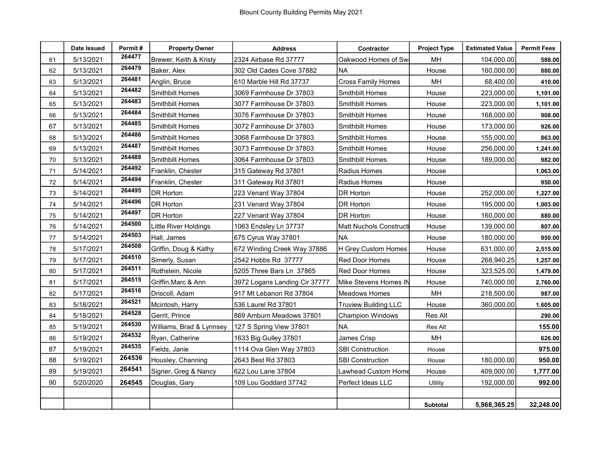|    | Date Issued | Permit# | <b>Property Owner</b>    | <b>Address</b>                | Contractor                     | <b>Project Type</b> | <b>Estimated Value</b> | <b>Permit Fees</b> |
|----|-------------|---------|--------------------------|-------------------------------|--------------------------------|---------------------|------------------------|--------------------|
| 61 | 5/13/2021   | 264477  | Brewer, Keith & Kristy   | 2324 Airbase Rd 37777         | Oakwood Homes of Sw            | MH                  | 104,000.00             | 588.00             |
| 62 | 5/13/2021   | 264479  | Baker, Alex              | 302 Old Cades Cove 37882      | <b>NA</b>                      | House               | 160,000.00             | 880.00             |
| 63 | 5/13/2021   | 264481  | Anglin, Bruce            | 610 Marble Hill Rd 37737      | <b>Cross Family Homes</b>      | MH                  | 68,400.00              | 410.00             |
| 64 | 5/13/2021   | 264482  | <b>Smithbilt Homes</b>   | 3069 Farmhouse Dr 37803       | <b>Smithbilt Homes</b>         | House               | 223,000.00             | 1,101.00           |
| 65 | 5/13/2021   | 264483  | <b>Smithbilt Homes</b>   | 3077 Farmhouse Dr 37803       | <b>Smithbilt Homes</b>         | House               | 223,000.00             | 1,101.00           |
| 66 | 5/13/2021   | 264484  | <b>Smithbilt Homes</b>   | 3076 Farmhouse Dr 37803       | <b>Smithbilt Homes</b>         | House               | 168,000.00             | 908.00             |
| 67 | 5/13/2021   | 264485  | <b>Smithbilt Homes</b>   | 3072 Farmhouse Dr 37803       | <b>Smithbilt Homes</b>         | House               | 173,000.00             | 926.00             |
| 68 | 5/13/2021   | 264486  | <b>Smithbilt Homes</b>   | 3068 Farmhouse Dr 37803       | Smithbilt Homes                | House               | 155,000.00             | 863.00             |
| 69 | 5/13/2021   | 264487  | <b>Smithbilt Homes</b>   | 3073 Farmhouse Dr 37803       | <b>Smithbilt Homes</b>         | House               | 256,000.00             | 1,241.00           |
| 70 | 5/13/2021   | 264488  | <b>Smithbilt Homes</b>   | 3064 Farmhouse Dr 37803       | Smithbilt Homes                | House               | 189,000.00             | 982.00             |
| 71 | 5/14/2021   | 264492  | Franklin, Chester        | 315 Gateway Rd 37801          | Radius Homes                   | House               |                        | 1,063.00           |
| 72 | 5/14/2021   | 264494  | Franklin, Chester        | 311 Gateway Rd 37801          | Radius Homes                   | House               |                        | 950.00             |
| 73 | 5/14/2021   | 264495  | <b>DR Horton</b>         | 223 Venard Way 37804          | DR Horton                      | House               | 252,000.00             | 1,227.00           |
| 74 | 5/14/2021   | 264496  | <b>DR Horton</b>         | 231 Venard Way 37804          | DR Horton                      | House               | 195,000.00             | 1,003.00           |
| 75 | 5/14/2021   | 264497  | <b>DR Horton</b>         | 227 Venard Way 37804          | DR Horton                      | House               | 160,000.00             | 880.00             |
| 76 | 5/14/2021   | 264500  | Little River Holdings    | 1063 Endsley Ln 37737         | <b>Matt Nuchols Constructi</b> | House               | 139,000.00             | 807.00             |
| 77 | 5/14/2021   | 264503  | Hall, James              | 675 Cyrus Way 37801           | NA                             | House               | 180,000.00             | 950.00             |
| 78 | 5/17/2021   | 264508  | Griffin, Doug & Kathy    | 672 Winding Creek Way 37886   | H Grey Custom Homes            | House               | 631,000.00             | 2,515.00           |
| 79 | 5/17/2021   | 264510  | Simerly, Susan           | 2542 Hobbs Rd 37777           | Red Door Homes                 | House               | 268,940.25             | 1,257.00           |
| 80 | 5/17/2021   | 264511  | Rothstein, Nicole        | 5205 Three Bars Ln 37865      | <b>Red Door Homes</b>          | House               | 323,525.00             | 1,479.00           |
| 81 | 5/17/2021   | 264515  | Griffin, Marc & Ann      | 3972 Logans Landing Cir 37777 | Mike Stevens Homes IN          | House               | 740,000.00             | 2,760.00           |
| 82 | 5/17/2021   | 264516  | Driscoll, Adam           | 917 Mt Lebanon Rd 37804       | Meadows Homes                  | MH                  | 218,500.00             | 987.00             |
| 83 | 5/18/2021   | 264521  | Mcintosh, Harry          | 536 Laurel Rd 37801           | <b>Truview Building LLC</b>    | House               | 360,000.00             | 1,605.00           |
| 84 | 5/18/2021   | 264528  | Gerrit, Prince           | 869 Amburn Meadows 37801      | <b>Champion Windows</b>        | Res Alt             |                        | 290.00             |
| 85 | 5/19/2021   | 264530  | Williams, Brad & Lynnsey | 127 S Spring View 37801       | <b>NA</b>                      | Res Alt             |                        | 155.00             |
| 86 | 5/19/2021   | 264532  | Ryan, Catherine          | 1633 Big Gulley 37801         | James Crisp                    | MH                  |                        | 626.00             |
| 87 | 5/19/2021   | 264535  | Fields, Janie            | 1114 Ova Glen Way 37803       | <b>SBI Construction</b>        | House               |                        | 975.00             |
| 88 | 5/19/2021   | 264536  | Housley, Channing        | 2643 Best Rd 37803            | <b>SBI Construction</b>        | House               | 180,000.00             | 950.00             |
| 89 | 5/19/2021   | 264541  | Signer, Greg & Nancy     | 622 Lou Lane 37804            | Lawhead Custom Home            | House               | 409,000.00             | 1,777.00           |
| 90 | 5/20/2020   | 264545  | Douglas, Gary            | 109 Lou Goddard 37742         | Perfect Ideas LLC              | Utility             | 192,000.00             | 992.00             |
|    |             |         |                          |                               |                                |                     |                        |                    |
|    |             |         |                          |                               |                                | <b>Subtotal</b>     | 5,968,365.25           | 32,248.00          |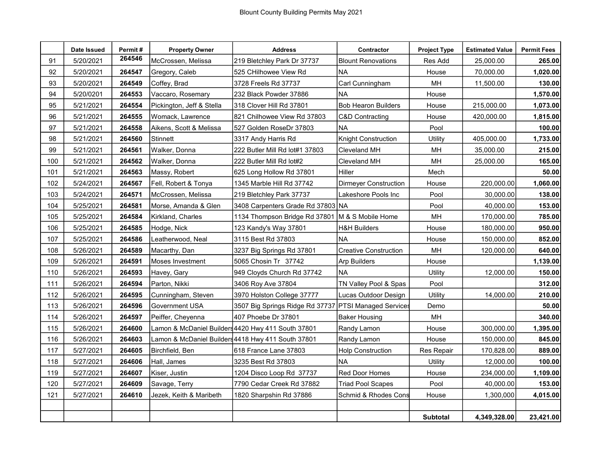|     | Date Issued | Permit# | <b>Property Owner</b>     | <b>Address</b>                                     | Contractor                   | <b>Project Type</b> | <b>Estimated Value</b> | <b>Permit Fees</b> |
|-----|-------------|---------|---------------------------|----------------------------------------------------|------------------------------|---------------------|------------------------|--------------------|
| 91  | 5/20/2021   | 264546  | McCrossen, Melissa        | 219 Bletchley Park Dr 37737                        | <b>Blount Renovations</b>    | Res Add             | 25,000.00              | 265.00             |
| 92  | 5/20/2021   | 264547  | Gregory, Caleb            | 525 CHilhowee View Rd                              | NA                           | House               | 70,000.00              | 1,020.00           |
| 93  | 5/20/2021   | 264549  | Coffey, Brad              | 3728 Freels Rd 37737                               | Carl Cunningham              | MН                  | 11,500.00              | 130.00             |
| 94  | 5/20/0201   | 264553  | Vaccaro, Rosemary         | 232 Black Powder 37886                             | <b>NA</b>                    | House               |                        | 1,570.00           |
| 95  | 5/21/2021   | 264554  | Pickington, Jeff & Stella | 318 Clover Hill Rd 37801                           | <b>Bob Hearon Builders</b>   | House               | 215,000.00             | 1,073.00           |
| 96  | 5/21/2021   | 264555  | Womack, Lawrence          | 821 Chilhowee View Rd 37803                        | C&D Contracting              | House               | 420,000.00             | 1,815.00           |
| 97  | 5/21/2021   | 264558  | Aikens, Scott & Melissa   | 527 Golden RoseDr 37803                            | <b>NA</b>                    | Pool                |                        | 100.00             |
| 98  | 5/21/2021   | 264560  | Stinnett                  | 3317 Andy Harris Rd                                | <b>Knight Construction</b>   | Utility             | 405,000.00             | 1,733.00           |
| 99  | 5/21/2021   | 264561  | Walker, Donna             | 222 Butler Mill Rd lot#1 37803                     | <b>Cleveland MH</b>          | MH                  | 35,000.00              | 215.00             |
| 100 | 5/21/2021   | 264562  | Walker, Donna             | 222 Butler Mill Rd lot#2                           | Cleveland MH                 | MH                  | 25,000.00              | 165.00             |
| 101 | 5/21/2021   | 264563  | Massy, Robert             | 625 Long Hollow Rd 37801                           | Hiller                       | Mech                |                        | 50.00              |
| 102 | 5/24/2021   | 264567  | Fell, Robert & Tonya      | 1345 Marble Hill Rd 37742                          | <b>Dirmeyer Construction</b> | House               | 220,000.00             | 1,060.00           |
| 103 | 5/24/2021   | 264571  | McCrossen, Melissa        | 219 Bletchley Park 37737                           | Lakeshore Pools Inc          | Pool                | 30,000.00              | 138.00             |
| 104 | 5/25/2021   | 264581  | Morse, Amanda & Glen      | 3408 Carpenters Grade Rd 37803 NA                  |                              | Pool                | 40,000.00              | 153.00             |
| 105 | 5/25/2021   | 264584  | Kirkland, Charles         | 1134 Thompson Bridge Rd 37801                      | M & S Mobile Home            | MH                  | 170,000.00             | 785.00             |
| 106 | 5/25/2021   | 264585  | Hodge, Nick               | 123 Kandy's Way 37801                              | <b>H&amp;H Builders</b>      | House               | 180,000.00             | 950.00             |
| 107 | 5/25/2021   | 264586  | Leatherwood, Neal         | 3115 Best Rd 37803                                 | <b>NA</b>                    | House               | 150,000.00             | 852.00             |
| 108 | 5/26/2021   | 264589  | Macarthy, Dan             | 3237 Big Springs Rd 37801                          | <b>Creative Construction</b> | MH                  | 120,000.00             | 640.00             |
| 109 | 5/26/2021   | 264591  | <b>Moses Investment</b>   | 5065 Chosin Tr 37742                               | <b>Arp Builders</b>          | House               |                        | 1,139.00           |
| 110 | 5/26/2021   | 264593  | Havey, Gary               | 949 Cloyds Church Rd 37742                         | NА                           | Utility             | 12,000.00              | 150.00             |
| 111 | 5/26/2021   | 264594  | Parton, Nikki             | 3406 Roy Ave 37804                                 | TN Valley Pool & Spas        | Pool                |                        | 312.00             |
| 112 | 5/26/2021   | 264595  | Cunningham, Steven        | 3970 Holston College 37777                         | Lucas Outdoor Design         | Utility             | 14,000.00              | 210.00             |
| 113 | 5/26/2021   | 264596  | Government USA            | 3507 Big Springs Ridge Rd 37737                    | <b>PTSI Managed Services</b> | Demo                |                        | 50.00              |
| 114 | 5/26/2021   | 264597  | Peiffer, Cheyenna         | 407 Phoebe Dr 37801                                | Baker Housing                | MH                  |                        | 340.00             |
| 115 | 5/26/2021   | 264600  |                           | Lamon & McDaniel Builders4420 Hwy 411 South 37801  | Randy Lamon                  | House               | 300,000.00             | 1,395.00           |
| 116 | 5/26/2021   | 264603  |                           | Lamon & McDaniel Builders 4418 Hwy 411 South 37801 | Randy Lamon                  | House               | 150,000.00             | 845.00             |
| 117 | 5/27/2021   | 264605  | Birchfield, Ben           | 618 France Lane 37803                              | <b>Holp Construction</b>     | <b>Res Repair</b>   | 170,828.00             | 889.00             |
| 118 | 5/27/2021   | 264606  | Hall, James               | 3235 Best Rd 37803                                 | <b>NA</b>                    | Utility             | 12,000.00              | 100.00             |
| 119 | 5/27/2021   | 264607  | Kiser, Justin             | 1204 Disco Loop Rd 37737                           | Red Door Homes               | House               | 234,000.00             | 1,109.00           |
| 120 | 5/27/2021   | 264609  | Savage, Terry             | 7790 Cedar Creek Rd 37882                          | <b>Triad Pool Scapes</b>     | Pool                | 40,000.00              | 153.00             |
| 121 | 5/27/2021   | 264610  | Jezek, Keith & Maribeth   | 1820 Sharpshin Rd 37886                            | Schmid & Rhodes Cons         | House               | 1,300,000              | 4,015.00           |
|     |             |         |                           |                                                    |                              |                     |                        |                    |
|     |             |         |                           |                                                    |                              | <b>Subtotal</b>     | 4,349,328.00           | 23,421.00          |